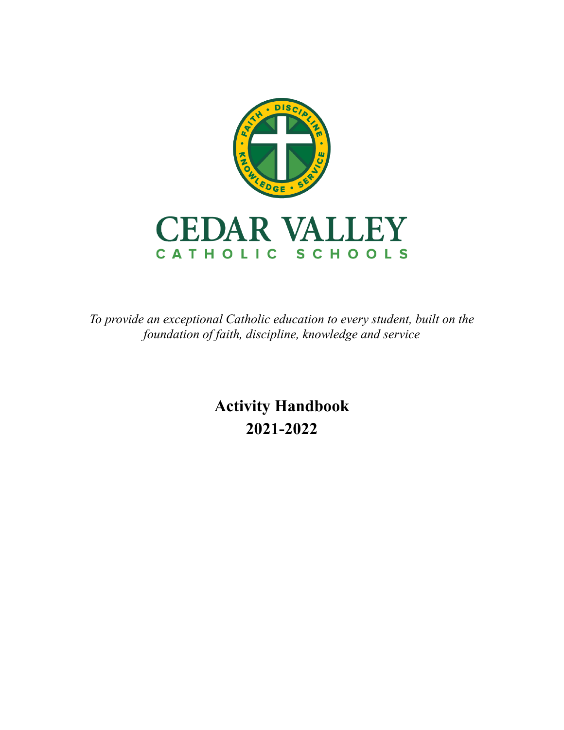

*To provide an exceptional Catholic education to every student, built on the foundation of faith, discipline, knowledge and service*

> **Activity Handbook 2021-2022**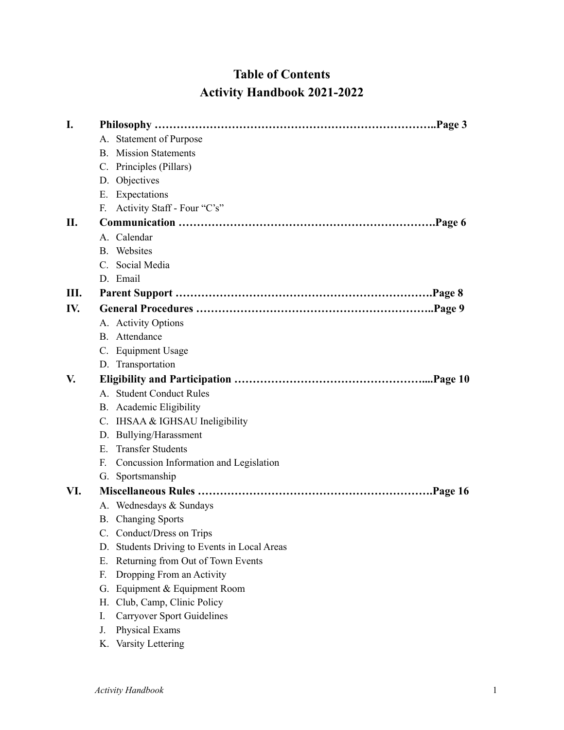# **Table of Contents Activity Handbook 2021-2022**

| I.  |                                                 |
|-----|-------------------------------------------------|
|     | <b>Statement of Purpose</b><br>А.               |
|     | <b>B.</b> Mission Statements                    |
|     | C. Principles (Pillars)                         |
|     | D. Objectives                                   |
|     | E. Expectations                                 |
|     | F. Activity Staff - Four "C's"                  |
| П.  |                                                 |
|     | A. Calendar                                     |
|     | <b>B.</b> Websites                              |
|     | C. Social Media                                 |
|     | D. Email                                        |
| Ш.  |                                                 |
| IV. |                                                 |
|     | A. Activity Options                             |
|     | B. Attendance                                   |
|     | C. Equipment Usage                              |
|     | D. Transportation                               |
| V.  |                                                 |
|     | A. Student Conduct Rules                        |
|     | B. Academic Eligibility                         |
|     | C. IHSAA & IGHSAU Ineligibility                 |
|     | D. Bullying/Harassment                          |
|     | E. Transfer Students                            |
|     | F. Concussion Information and Legislation       |
|     | Sportsmanship<br>G.                             |
| VI. |                                                 |
|     | A. Wednesdays & Sundays                         |
|     | <b>B.</b> Changing Sports                       |
|     | Conduct/Dress on Trips                          |
|     | Students Driving to Events in Local Areas<br>D. |
|     | Returning from Out of Town Events<br>Е.         |
|     | Dropping From an Activity<br>F.                 |
|     | G. Equipment & Equipment Room                   |
|     | Club, Camp, Clinic Policy<br>Н.                 |
|     | <b>Carryover Sport Guidelines</b><br>I.         |
|     | Physical Exams<br>J.                            |
|     | K. Varsity Lettering                            |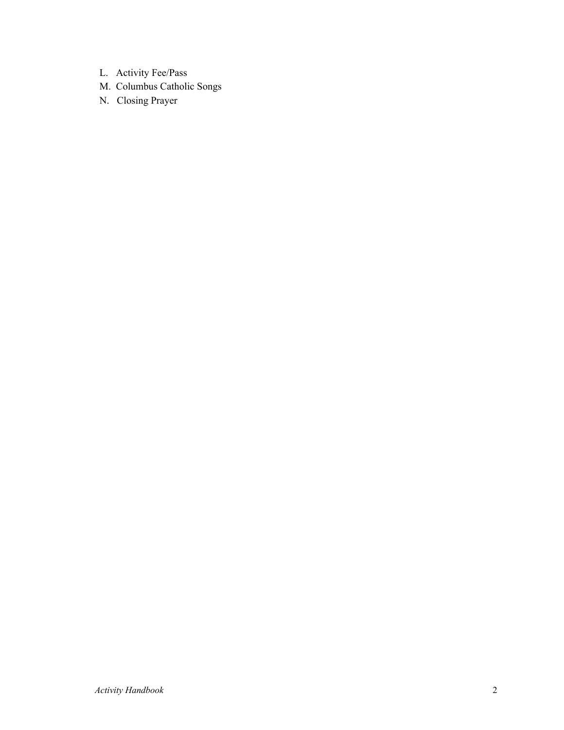- L. Activity Fee/Pass
- M. Columbus Catholic Songs
- N. Closing Prayer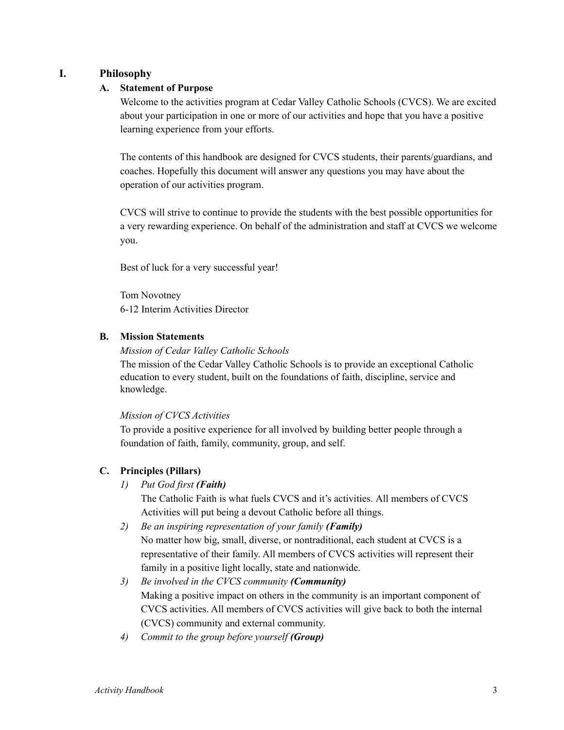# **I. Philosophy**

# **A. Statement of Purpose**

Welcome to the activities program at Cedar Valley Catholic Schools (CVCS). We are excited about your participation in one or more of our activities and hope that you have a positive learning experience from your efforts.

The contents of this handbook are designed for CVCS students, their parents/guardians, and coaches. Hopefully this document will answer any questions you may have about the operation of our activities program.

CVCS will strive to continue to provide the students with the best possible opportunities for a very rewarding experience. On behalf of the administration and staff at CVCS we welcome you.

Best of luck for a very successful year!

Tom Novotney 6-12 Interim Activities Director

# **B. Mission Statements**

*Mission of Cedar Valley Catholic Schools*

The mission of the Cedar Valley Catholic Schools is to provide an exceptional Catholic education to every student, built on the foundations of faith, discipline, service and knowledge.

*Mission of CVCS Activities*

To provide a positive experience for all involved by building better people through a foundation of faith, family, community, group, and self.

# **C. Principles (Pillars)**

*1) Put God first (Faith)*

The Catholic Faith is what fuels CVCS and it's activities. All members of CVCS Activities will put being a devout Catholic before all things.

- *2) Be an inspiring representation of your family (Family)* No matter how big, small, diverse, or nontraditional, each student at CVCS is a representative of their family. All members of CVCS activities will represent their family in a positive light locally, state and nationwide.
- *3) Be involved in the CVCS community (Community)* Making a positive impact on others in the community is an important component of CVCS activities. All members of CVCS activities will give back to both the internal (CVCS) community and external community.
- *4) Commit to the group before yourself (Group)*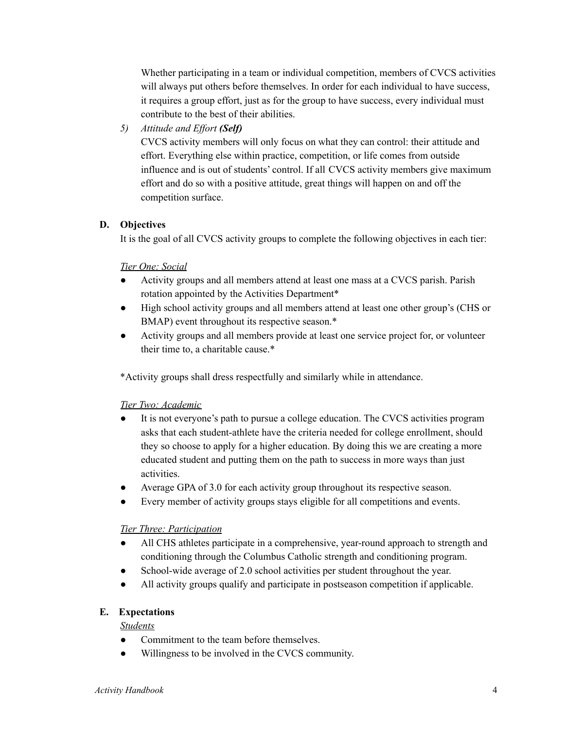Whether participating in a team or individual competition, members of CVCS activities will always put others before themselves. In order for each individual to have success, it requires a group effort, just as for the group to have success, every individual must contribute to the best of their abilities.

*5) Attitude and Effort (Self)*

CVCS activity members will only focus on what they can control: their attitude and effort. Everything else within practice, competition, or life comes from outside influence and is out of students' control. If all CVCS activity members give maximum effort and do so with a positive attitude, great things will happen on and off the competition surface.

# **D. Objectives**

It is the goal of all CVCS activity groups to complete the following objectives in each tier:

# *Tier One: Social*

- Activity groups and all members attend at least one mass at a CVCS parish. Parish rotation appointed by the Activities Department\*
- High school activity groups and all members attend at least one other group's (CHS or BMAP) event throughout its respective season.\*
- Activity groups and all members provide at least one service project for, or volunteer their time to, a charitable cause.\*

\*Activity groups shall dress respectfully and similarly while in attendance.

#### *Tier Two: Academic*

- It is not everyone's path to pursue a college education. The CVCS activities program asks that each student-athlete have the criteria needed for college enrollment, should they so choose to apply for a higher education. By doing this we are creating a more educated student and putting them on the path to success in more ways than just activities.
- Average GPA of 3.0 for each activity group throughout its respective season.
- Every member of activity groups stays eligible for all competitions and events.

#### *Tier Three: Participation*

- All CHS athletes participate in a comprehensive, year-round approach to strength and conditioning through the Columbus Catholic strength and conditioning program.
- School-wide average of 2.0 school activities per student throughout the year.
- All activity groups qualify and participate in postseason competition if applicable.

#### **E. Expectations**

#### *Students*

- Commitment to the team before themselves.
- Willingness to be involved in the CVCS community.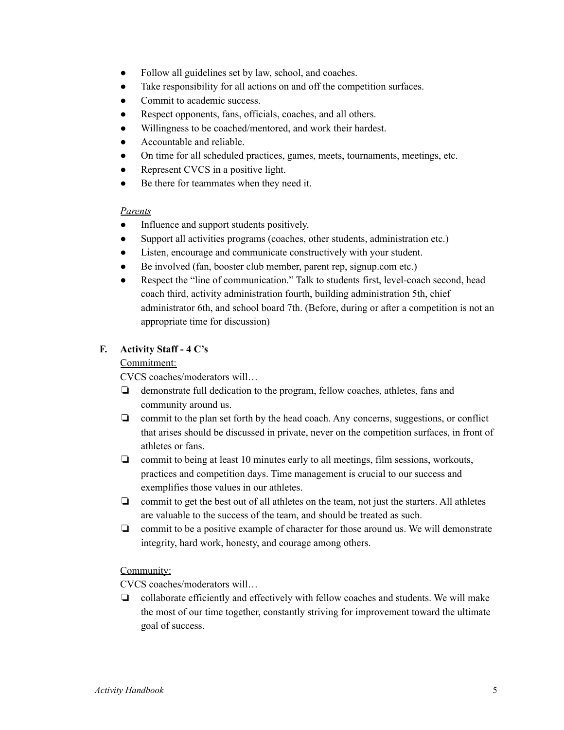- Follow all guidelines set by law, school, and coaches.
- Take responsibility for all actions on and off the competition surfaces.
- Commit to academic success.
- Respect opponents, fans, officials, coaches, and all others.
- Willingness to be coached/mentored, and work their hardest.
- Accountable and reliable.
- On time for all scheduled practices, games, meets, tournaments, meetings, etc.
- Represent CVCS in a positive light.
- Be there for teammates when they need it.

#### *Parents*

- Influence and support students positively.
- Support all activities programs (coaches, other students, administration etc.)
- Listen, encourage and communicate constructively with your student.
- Be involved (fan, booster club member, parent rep, signup.com etc.)
- Respect the "line of communication." Talk to students first, level-coach second, head coach third, activity administration fourth, building administration 5th, chief administrator 6th, and school board 7th. (Before, during or after a competition is not an appropriate time for discussion)

# **F. Activity Staff - 4 C's**

#### Commitment:

CVCS coaches/moderators will…

- ❏ demonstrate full dedication to the program, fellow coaches, athletes, fans and community around us.
- ❏ commit to the plan set forth by the head coach. Any concerns, suggestions, or conflict that arises should be discussed in private, never on the competition surfaces, in front of athletes or fans.
- ❏ commit to being at least 10 minutes early to all meetings, film sessions, workouts, practices and competition days. Time management is crucial to our success and exemplifies those values in our athletes.
- ❏ commit to get the best out of all athletes on the team, not just the starters. All athletes are valuable to the success of the team, and should be treated as such.
- ❏ commit to be a positive example of character for those around us. We will demonstrate integrity, hard work, honesty, and courage among others.

#### Community:

CVCS coaches/moderators will…

❏ collaborate efficiently and effectively with fellow coaches and students. We will make the most of our time together, constantly striving for improvement toward the ultimate goal of success.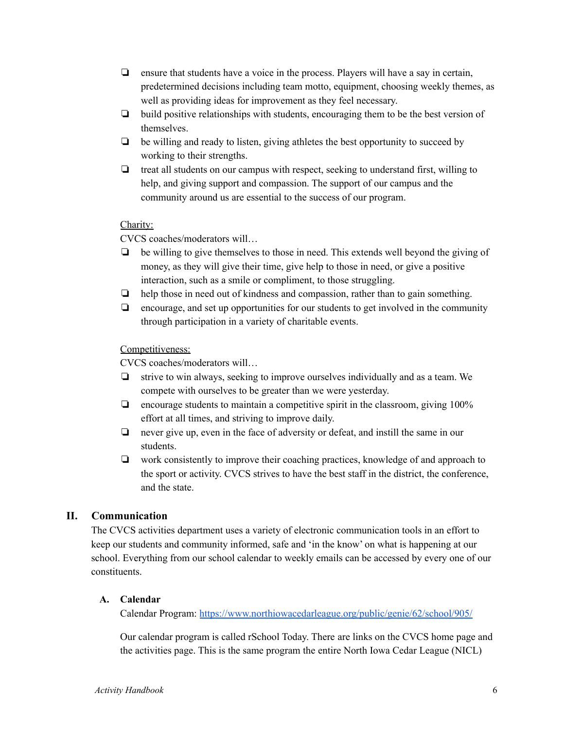- ❏ ensure that students have a voice in the process. Players will have a say in certain, predetermined decisions including team motto, equipment, choosing weekly themes, as well as providing ideas for improvement as they feel necessary.
- ❏ build positive relationships with students, encouraging them to be the best version of themselves.
- ❏ be willing and ready to listen, giving athletes the best opportunity to succeed by working to their strengths.
- ❏ treat all students on our campus with respect, seeking to understand first, willing to help, and giving support and compassion. The support of our campus and the community around us are essential to the success of our program.

# Charity:

CVCS coaches/moderators will…

- ❏ be willing to give themselves to those in need. This extends well beyond the giving of money, as they will give their time, give help to those in need, or give a positive interaction, such as a smile or compliment, to those struggling.
- ❏ help those in need out of kindness and compassion, rather than to gain something.
- ❏ encourage, and set up opportunities for our students to get involved in the community through participation in a variety of charitable events.

# Competitiveness:

CVCS coaches/moderators will…

- ❏ strive to win always, seeking to improve ourselves individually and as a team. We compete with ourselves to be greater than we were yesterday.
- ❏ encourage students to maintain a competitive spirit in the classroom, giving 100% effort at all times, and striving to improve daily.
- ❏ never give up, even in the face of adversity or defeat, and instill the same in our students.
- ❏ work consistently to improve their coaching practices, knowledge of and approach to the sport or activity. CVCS strives to have the best staff in the district, the conference, and the state.

# **II. Communication**

The CVCS activities department uses a variety of electronic communication tools in an effort to keep our students and community informed, safe and 'in the know' on what is happening at our school. Everything from our school calendar to weekly emails can be accessed by every one of our constituents.

# **A. Calendar**

Calendar Program: https://www.northiowacedarleague.org/public/genie/62/school/905/

Our calendar program is called rSchool Today. There are links on the CVCS home page and the activities page. This is the same program the entire North Iowa Cedar League (NICL)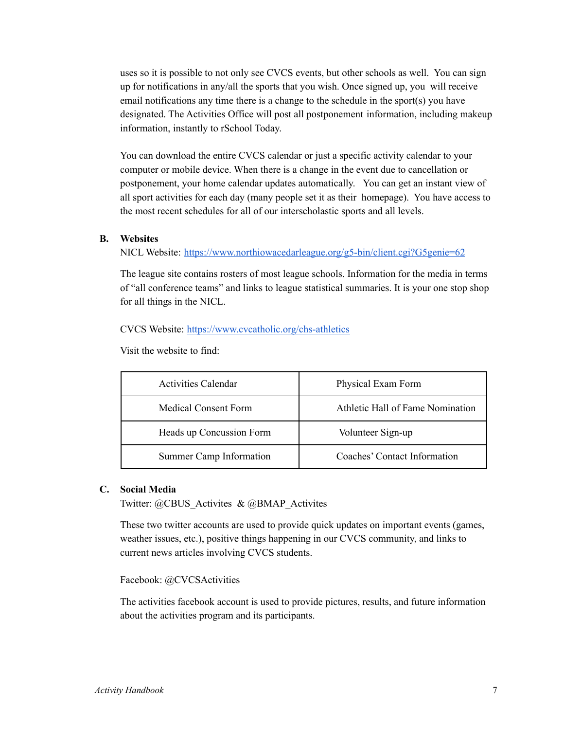uses so it is possible to not only see CVCS events, but other schools as well. You can sign up for notifications in any/all the sports that you wish. Once signed up, you will receive email notifications any time there is a change to the schedule in the sport(s) you have designated. The Activities Office will post all postponement information, including makeup information, instantly to rSchool Today.

You can download the entire CVCS calendar or just a specific activity calendar to your computer or mobile device. When there is a change in the event due to cancellation or postponement, your home calendar updates automatically. You can get an instant view of all sport activities for each day (many people set it as their homepage). You have access to the most recent schedules for all of our interscholastic sports and all levels.

#### **B. Websites**

NICL Website: https://www.northiowacedarleague.org/g5-bin/client.cgi?G5genie=62

The league site contains rosters of most league schools. Information for the media in terms of "all conference teams" and links to league statistical summaries. It is your one stop shop for all things in the NICL.

CVCS Website: https://www.cvcatholic.org/chs-athletics

Visit the website to find:

| <b>Activities Calendar</b>  | Physical Exam Form               |
|-----------------------------|----------------------------------|
| <b>Medical Consent Form</b> | Athletic Hall of Fame Nomination |
| Heads up Concussion Form    | Volunteer Sign-up                |
| Summer Camp Information     | Coaches' Contact Information     |

#### **C. Social Media**

Twitter: @CBUS\_Activites & @BMAP\_Activites

These two twitter accounts are used to provide quick updates on important events (games, weather issues, etc.), positive things happening in our CVCS community, and links to current news articles involving CVCS students.

Facebook: @CVCSActivities

The activities facebook account is used to provide pictures, results, and future information about the activities program and its participants.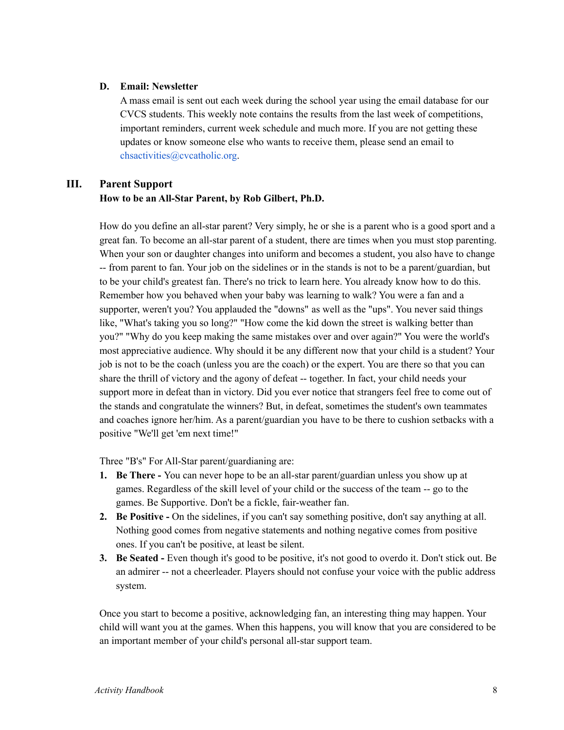# **D. Email: Newsletter**

A mass email is sent out each week during the school year using the email database for our CVCS students. This weekly note contains the results from the last week of competitions, important reminders, current week schedule and much more. If you are not getting these updates or know someone else who wants to receive them, please send an email to chsactivities@cvcatholic.org.

# **III. Parent Support**

# **How to be an All-Star Parent, by Rob Gilbert, Ph.D.**

How do you define an all-star parent? Very simply, he or she is a parent who is a good sport and a great fan. To become an all-star parent of a student, there are times when you must stop parenting. When your son or daughter changes into uniform and becomes a student, you also have to change -- from parent to fan. Your job on the sidelines or in the stands is not to be a parent/guardian, but to be your child's greatest fan. There's no trick to learn here. You already know how to do this. Remember how you behaved when your baby was learning to walk? You were a fan and a supporter, weren't you? You applauded the "downs" as well as the "ups". You never said things like, "What's taking you so long?" "How come the kid down the street is walking better than you?" "Why do you keep making the same mistakes over and over again?" You were the world's most appreciative audience. Why should it be any different now that your child is a student? Your job is not to be the coach (unless you are the coach) or the expert. You are there so that you can share the thrill of victory and the agony of defeat -- together. In fact, your child needs your support more in defeat than in victory. Did you ever notice that strangers feel free to come out of the stands and congratulate the winners? But, in defeat, sometimes the student's own teammates and coaches ignore her/him. As a parent/guardian you have to be there to cushion setbacks with a positive "We'll get 'em next time!"

Three "B's" For All-Star parent/guardianing are:

- **1. Be There -** You can never hope to be an all-star parent/guardian unless you show up at games. Regardless of the skill level of your child or the success of the team -- go to the games. Be Supportive. Don't be a fickle, fair-weather fan.
- **2. Be Positive -** On the sidelines, if you can't say something positive, don't say anything at all. Nothing good comes from negative statements and nothing negative comes from positive ones. If you can't be positive, at least be silent.
- **3. Be Seated -** Even though it's good to be positive, it's not good to overdo it. Don't stick out. Be an admirer -- not a cheerleader. Players should not confuse your voice with the public address system.

Once you start to become a positive, acknowledging fan, an interesting thing may happen. Your child will want you at the games. When this happens, you will know that you are considered to be an important member of your child's personal all-star support team.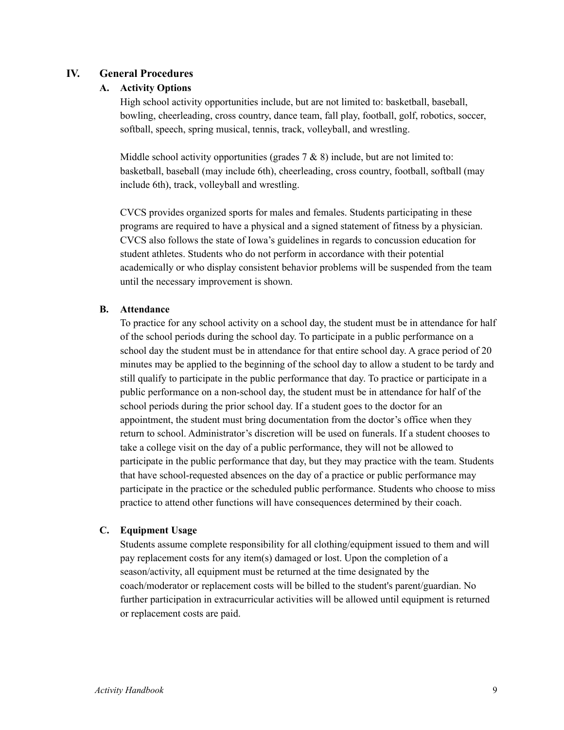# **IV. General Procedures**

# **A. Activity Options**

High school activity opportunities include, but are not limited to: basketball, baseball, bowling, cheerleading, cross country, dance team, fall play, football, golf, robotics, soccer, softball, speech, spring musical, tennis, track, volleyball, and wrestling.

Middle school activity opportunities (grades  $7 & 8$ ) include, but are not limited to: basketball, baseball (may include 6th), cheerleading, cross country, football, softball (may include 6th), track, volleyball and wrestling.

CVCS provides organized sports for males and females. Students participating in these programs are required to have a physical and a signed statement of fitness by a physician. CVCS also follows the state of Iowa's guidelines in regards to concussion education for student athletes. Students who do not perform in accordance with their potential academically or who display consistent behavior problems will be suspended from the team until the necessary improvement is shown.

#### **B. Attendance**

To practice for any school activity on a school day, the student must be in attendance for half of the school periods during the school day. To participate in a public performance on a school day the student must be in attendance for that entire school day. A grace period of 20 minutes may be applied to the beginning of the school day to allow a student to be tardy and still qualify to participate in the public performance that day. To practice or participate in a public performance on a non-school day, the student must be in attendance for half of the school periods during the prior school day. If a student goes to the doctor for an appointment, the student must bring documentation from the doctor's office when they return to school. Administrator's discretion will be used on funerals. If a student chooses to take a college visit on the day of a public performance, they will not be allowed to participate in the public performance that day, but they may practice with the team. Students that have school-requested absences on the day of a practice or public performance may participate in the practice or the scheduled public performance. Students who choose to miss practice to attend other functions will have consequences determined by their coach.

# **C. Equipment Usage**

Students assume complete responsibility for all clothing/equipment issued to them and will pay replacement costs for any item(s) damaged or lost. Upon the completion of a season/activity, all equipment must be returned at the time designated by the coach/moderator or replacement costs will be billed to the student's parent/guardian. No further participation in extracurricular activities will be allowed until equipment is returned or replacement costs are paid.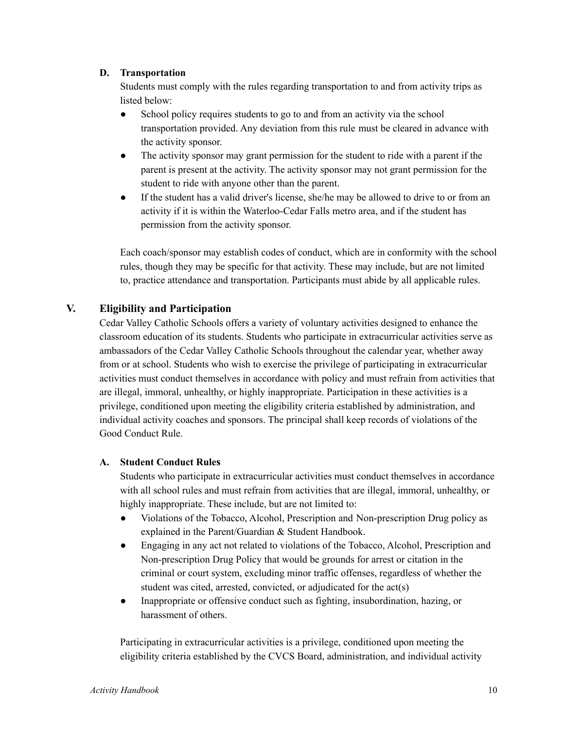## **D. Transportation**

Students must comply with the rules regarding transportation to and from activity trips as listed below:

- School policy requires students to go to and from an activity via the school transportation provided. Any deviation from this rule must be cleared in advance with the activity sponsor.
- The activity sponsor may grant permission for the student to ride with a parent if the parent is present at the activity. The activity sponsor may not grant permission for the student to ride with anyone other than the parent.
- If the student has a valid driver's license, she/he may be allowed to drive to or from an activity if it is within the Waterloo-Cedar Falls metro area, and if the student has permission from the activity sponsor.

Each coach/sponsor may establish codes of conduct, which are in conformity with the school rules, though they may be specific for that activity. These may include, but are not limited to, practice attendance and transportation. Participants must abide by all applicable rules.

# **V. Eligibility and Participation**

Cedar Valley Catholic Schools offers a variety of voluntary activities designed to enhance the classroom education of its students. Students who participate in extracurricular activities serve as ambassadors of the Cedar Valley Catholic Schools throughout the calendar year, whether away from or at school. Students who wish to exercise the privilege of participating in extracurricular activities must conduct themselves in accordance with policy and must refrain from activities that are illegal, immoral, unhealthy, or highly inappropriate. Participation in these activities is a privilege, conditioned upon meeting the eligibility criteria established by administration, and individual activity coaches and sponsors. The principal shall keep records of violations of the Good Conduct Rule.

# **A. Student Conduct Rules**

Students who participate in extracurricular activities must conduct themselves in accordance with all school rules and must refrain from activities that are illegal, immoral, unhealthy, or highly inappropriate. These include, but are not limited to:

- Violations of the Tobacco, Alcohol, Prescription and Non-prescription Drug policy as explained in the Parent/Guardian & Student Handbook.
- Engaging in any act not related to violations of the Tobacco, Alcohol, Prescription and Non-prescription Drug Policy that would be grounds for arrest or citation in the criminal or court system, excluding minor traffic offenses, regardless of whether the student was cited, arrested, convicted, or adjudicated for the act(s)
- Inappropriate or offensive conduct such as fighting, insubordination, hazing, or harassment of others.

Participating in extracurricular activities is a privilege, conditioned upon meeting the eligibility criteria established by the CVCS Board, administration, and individual activity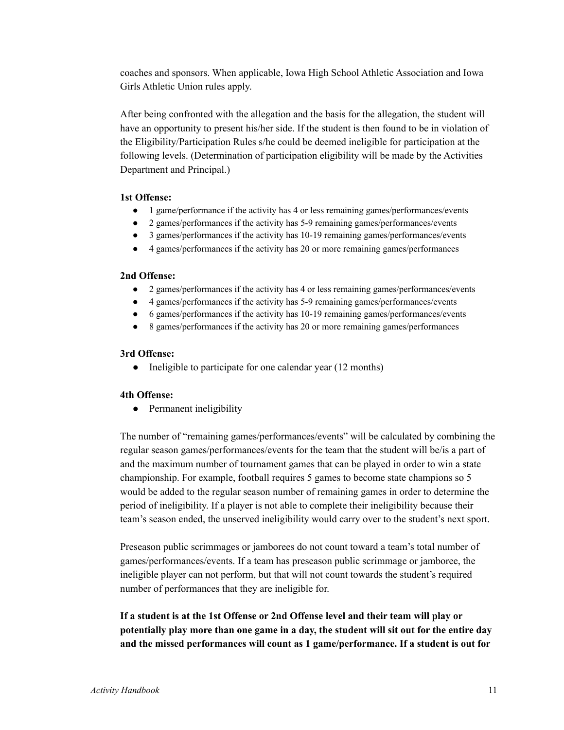coaches and sponsors. When applicable, Iowa High School Athletic Association and Iowa Girls Athletic Union rules apply.

After being confronted with the allegation and the basis for the allegation, the student will have an opportunity to present his/her side. If the student is then found to be in violation of the Eligibility/Participation Rules s/he could be deemed ineligible for participation at the following levels. (Determination of participation eligibility will be made by the Activities Department and Principal.)

# **1st Offense:**

- 1 game/performance if the activity has 4 or less remaining games/performances/events
- 2 games/performances if the activity has 5-9 remaining games/performances/events
- 3 games/performances if the activity has 10-19 remaining games/performances/events
- 4 games/performances if the activity has 20 or more remaining games/performances

# **2nd Offense:**

- 2 games/performances if the activity has 4 or less remaining games/performances/events
- 4 games/performances if the activity has 5-9 remaining games/performances/events
- 6 games/performances if the activity has 10-19 remaining games/performances/events
- 8 games/performances if the activity has 20 or more remaining games/performances

#### **3rd Offense:**

• Ineligible to participate for one calendar year (12 months)

#### **4th Offense:**

• Permanent ineligibility

The number of "remaining games/performances/events" will be calculated by combining the regular season games/performances/events for the team that the student will be/is a part of and the maximum number of tournament games that can be played in order to win a state championship. For example, football requires 5 games to become state champions so 5 would be added to the regular season number of remaining games in order to determine the period of ineligibility. If a player is not able to complete their ineligibility because their team's season ended, the unserved ineligibility would carry over to the student's next sport.

Preseason public scrimmages or jamborees do not count toward a team's total number of games/performances/events. If a team has preseason public scrimmage or jamboree, the ineligible player can not perform, but that will not count towards the student's required number of performances that they are ineligible for.

**If a student is at the 1st Offense or 2nd Offense level and their team will play or potentially play more than one game in a day, the student will sit out for the entire day and the missed performances will count as 1 game/performance. If a student is out for**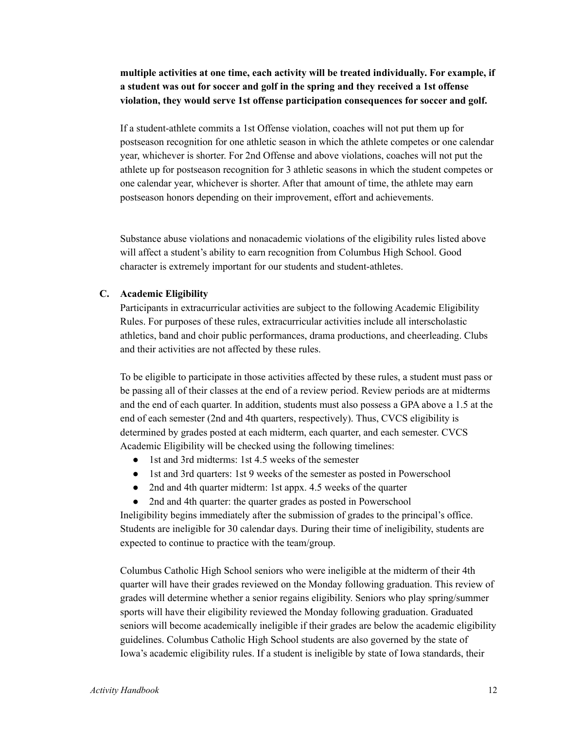# **multiple activities at one time, each activity will be treated individually. For example, if a student was out for soccer and golf in the spring and they received a 1st offense violation, they would serve 1st offense participation consequences for soccer and golf.**

If a student-athlete commits a 1st Offense violation, coaches will not put them up for postseason recognition for one athletic season in which the athlete competes or one calendar year, whichever is shorter. For 2nd Offense and above violations, coaches will not put the athlete up for postseason recognition for 3 athletic seasons in which the student competes or one calendar year, whichever is shorter. After that amount of time, the athlete may earn postseason honors depending on their improvement, effort and achievements.

Substance abuse violations and nonacademic violations of the eligibility rules listed above will affect a student's ability to earn recognition from Columbus High School. Good character is extremely important for our students and student-athletes.

#### **C. Academic Eligibility**

Participants in extracurricular activities are subject to the following Academic Eligibility Rules. For purposes of these rules, extracurricular activities include all interscholastic athletics, band and choir public performances, drama productions, and cheerleading. Clubs and their activities are not affected by these rules.

To be eligible to participate in those activities affected by these rules, a student must pass or be passing all of their classes at the end of a review period. Review periods are at midterms and the end of each quarter. In addition, students must also possess a GPA above a 1.5 at the end of each semester (2nd and 4th quarters, respectively). Thus, CVCS eligibility is determined by grades posted at each midterm, each quarter, and each semester. CVCS Academic Eligibility will be checked using the following timelines:

- 1st and 3rd midterms: 1st 4.5 weeks of the semester
- 1st and 3rd quarters: 1st 9 weeks of the semester as posted in Powerschool
- 2nd and 4th quarter midterm: 1st appx. 4.5 weeks of the quarter
- 2nd and 4th quarter: the quarter grades as posted in Powerschool

Ineligibility begins immediately after the submission of grades to the principal's office. Students are ineligible for 30 calendar days. During their time of ineligibility, students are expected to continue to practice with the team/group.

Columbus Catholic High School seniors who were ineligible at the midterm of their 4th quarter will have their grades reviewed on the Monday following graduation. This review of grades will determine whether a senior regains eligibility. Seniors who play spring/summer sports will have their eligibility reviewed the Monday following graduation. Graduated seniors will become academically ineligible if their grades are below the academic eligibility guidelines. Columbus Catholic High School students are also governed by the state of Iowa's academic eligibility rules. If a student is ineligible by state of Iowa standards, their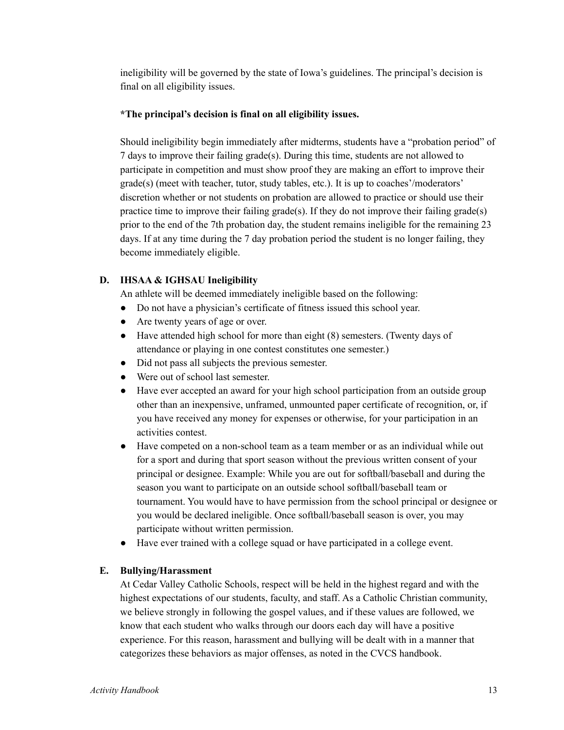ineligibility will be governed by the state of Iowa's guidelines. The principal's decision is final on all eligibility issues.

# **\*The principal's decision is final on all eligibility issues.**

Should ineligibility begin immediately after midterms, students have a "probation period" of 7 days to improve their failing grade(s). During this time, students are not allowed to participate in competition and must show proof they are making an effort to improve their grade(s) (meet with teacher, tutor, study tables, etc.). It is up to coaches'/moderators' discretion whether or not students on probation are allowed to practice or should use their practice time to improve their failing grade(s). If they do not improve their failing grade(s) prior to the end of the 7th probation day, the student remains ineligible for the remaining 23 days. If at any time during the 7 day probation period the student is no longer failing, they become immediately eligible.

# **D. IHSAA & IGHSAU Ineligibility**

An athlete will be deemed immediately ineligible based on the following:

- Do not have a physician's certificate of fitness issued this school year.
- Are twenty years of age or over.
- Have attended high school for more than eight (8) semesters. (Twenty days of attendance or playing in one contest constitutes one semester.)
- Did not pass all subjects the previous semester.
- Were out of school last semester.
- Have ever accepted an award for your high school participation from an outside group other than an inexpensive, unframed, unmounted paper certificate of recognition, or, if you have received any money for expenses or otherwise, for your participation in an activities contest.
- Have competed on a non-school team as a team member or as an individual while out for a sport and during that sport season without the previous written consent of your principal or designee. Example: While you are out for softball/baseball and during the season you want to participate on an outside school softball/baseball team or tournament. You would have to have permission from the school principal or designee or you would be declared ineligible. Once softball/baseball season is over, you may participate without written permission.
- Have ever trained with a college squad or have participated in a college event.

#### **E. Bullying/Harassment**

At Cedar Valley Catholic Schools, respect will be held in the highest regard and with the highest expectations of our students, faculty, and staff. As a Catholic Christian community, we believe strongly in following the gospel values, and if these values are followed, we know that each student who walks through our doors each day will have a positive experience. For this reason, harassment and bullying will be dealt with in a manner that categorizes these behaviors as major offenses, as noted in the CVCS handbook.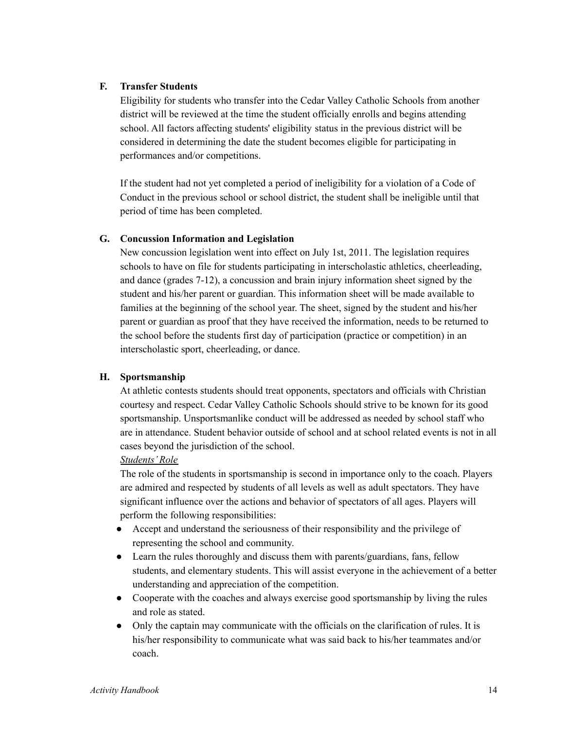# **F. Transfer Students**

Eligibility for students who transfer into the Cedar Valley Catholic Schools from another district will be reviewed at the time the student officially enrolls and begins attending school. All factors affecting students' eligibility status in the previous district will be considered in determining the date the student becomes eligible for participating in performances and/or competitions.

If the student had not yet completed a period of ineligibility for a violation of a Code of Conduct in the previous school or school district, the student shall be ineligible until that period of time has been completed.

# **G. Concussion Information and Legislation**

New concussion legislation went into effect on July 1st, 2011. The legislation requires schools to have on file for students participating in interscholastic athletics, cheerleading, and dance (grades 7-12), a concussion and brain injury information sheet signed by the student and his/her parent or guardian. This information sheet will be made available to families at the beginning of the school year. The sheet, signed by the student and his/her parent or guardian as proof that they have received the information, needs to be returned to the school before the students first day of participation (practice or competition) in an interscholastic sport, cheerleading, or dance.

#### **H. Sportsmanship**

At athletic contests students should treat opponents, spectators and officials with Christian courtesy and respect. Cedar Valley Catholic Schools should strive to be known for its good sportsmanship. Unsportsmanlike conduct will be addressed as needed by school staff who are in attendance. Student behavior outside of school and at school related events is not in all cases beyond the jurisdiction of the school.

#### *Students'Role*

The role of the students in sportsmanship is second in importance only to the coach. Players are admired and respected by students of all levels as well as adult spectators. They have significant influence over the actions and behavior of spectators of all ages. Players will perform the following responsibilities:

- Accept and understand the seriousness of their responsibility and the privilege of representing the school and community.
- Learn the rules thoroughly and discuss them with parents/guardians, fans, fellow students, and elementary students. This will assist everyone in the achievement of a better understanding and appreciation of the competition.
- Cooperate with the coaches and always exercise good sportsmanship by living the rules and role as stated.
- Only the captain may communicate with the officials on the clarification of rules. It is his/her responsibility to communicate what was said back to his/her teammates and/or coach.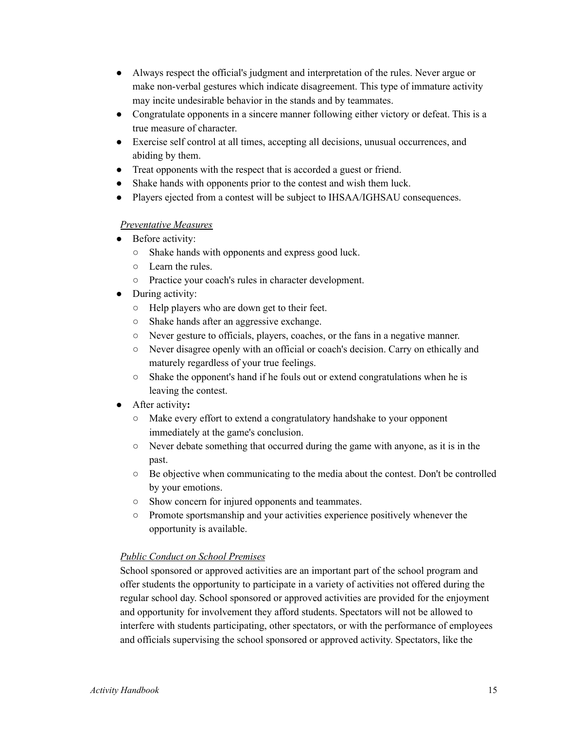- Always respect the official's judgment and interpretation of the rules. Never argue or make non-verbal gestures which indicate disagreement. This type of immature activity may incite undesirable behavior in the stands and by teammates.
- Congratulate opponents in a sincere manner following either victory or defeat. This is a true measure of character.
- Exercise self control at all times, accepting all decisions, unusual occurrences, and abiding by them.
- Treat opponents with the respect that is accorded a guest or friend.
- Shake hands with opponents prior to the contest and wish them luck.
- Players ejected from a contest will be subject to IHSAA/IGHSAU consequences.

# *Preventative Measures*

- Before activity:
	- Shake hands with opponents and express good luck.
	- Learn the rules.
	- Practice your coach's rules in character development.
- During activity:
	- Help players who are down get to their feet.
	- Shake hands after an aggressive exchange.
	- Never gesture to officials, players, coaches, or the fans in a negative manner.
	- Never disagree openly with an official or coach's decision. Carry on ethically and maturely regardless of your true feelings.
	- Shake the opponent's hand if he fouls out or extend congratulations when he is leaving the contest.
- **●** After activity**:**
	- Make every effort to extend a congratulatory handshake to your opponent immediately at the game's conclusion.
	- Never debate something that occurred during the game with anyone, as it is in the past.
	- $\circ$  Be objective when communicating to the media about the contest. Don't be controlled by your emotions.
	- Show concern for injured opponents and teammates.
	- Promote sportsmanship and your activities experience positively whenever the opportunity is available.

# *Public Conduct on School Premises*

School sponsored or approved activities are an important part of the school program and offer students the opportunity to participate in a variety of activities not offered during the regular school day. School sponsored or approved activities are provided for the enjoyment and opportunity for involvement they afford students. Spectators will not be allowed to interfere with students participating, other spectators, or with the performance of employees and officials supervising the school sponsored or approved activity. Spectators, like the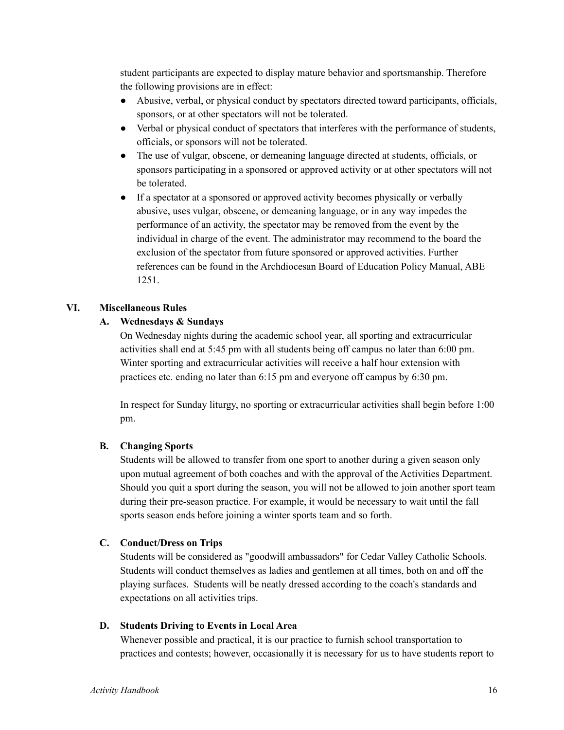student participants are expected to display mature behavior and sportsmanship. Therefore the following provisions are in effect:

- Abusive, verbal, or physical conduct by spectators directed toward participants, officials, sponsors, or at other spectators will not be tolerated.
- Verbal or physical conduct of spectators that interferes with the performance of students, officials, or sponsors will not be tolerated.
- The use of vulgar, obscene, or demeaning language directed at students, officials, or sponsors participating in a sponsored or approved activity or at other spectators will not be tolerated.
- If a spectator at a sponsored or approved activity becomes physically or verbally abusive, uses vulgar, obscene, or demeaning language, or in any way impedes the performance of an activity, the spectator may be removed from the event by the individual in charge of the event. The administrator may recommend to the board the exclusion of the spectator from future sponsored or approved activities. Further references can be found in the Archdiocesan Board of Education Policy Manual, ABE 1251.

# **VI. Miscellaneous Rules**

# **A. Wednesdays & Sundays**

On Wednesday nights during the academic school year, all sporting and extracurricular activities shall end at 5:45 pm with all students being off campus no later than 6:00 pm. Winter sporting and extracurricular activities will receive a half hour extension with practices etc. ending no later than 6:15 pm and everyone off campus by 6:30 pm.

In respect for Sunday liturgy, no sporting or extracurricular activities shall begin before 1:00 pm.

# **B. Changing Sports**

Students will be allowed to transfer from one sport to another during a given season only upon mutual agreement of both coaches and with the approval of the Activities Department. Should you quit a sport during the season, you will not be allowed to join another sport team during their pre-season practice. For example, it would be necessary to wait until the fall sports season ends before joining a winter sports team and so forth.

# **C. Conduct/Dress on Trips**

Students will be considered as "goodwill ambassadors" for Cedar Valley Catholic Schools. Students will conduct themselves as ladies and gentlemen at all times, both on and off the playing surfaces. Students will be neatly dressed according to the coach's standards and expectations on all activities trips.

#### **D. Students Driving to Events in Local Area**

Whenever possible and practical, it is our practice to furnish school transportation to practices and contests; however, occasionally it is necessary for us to have students report to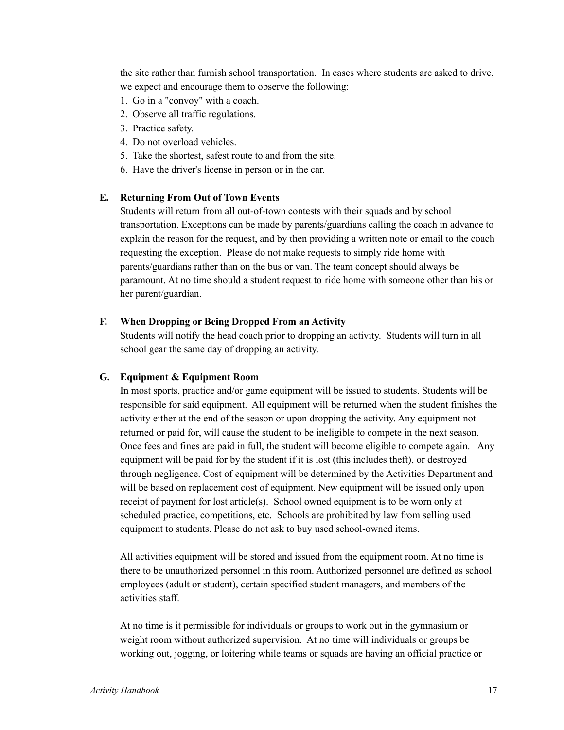the site rather than furnish school transportation. In cases where students are asked to drive, we expect and encourage them to observe the following:

- 1. Go in a "convoy" with a coach.
- 2. Observe all traffic regulations.
- 3. Practice safety.
- 4. Do not overload vehicles.
- 5. Take the shortest, safest route to and from the site.
- 6. Have the driver's license in person or in the car.

#### **E. Returning From Out of Town Events**

Students will return from all out-of-town contests with their squads and by school transportation. Exceptions can be made by parents/guardians calling the coach in advance to explain the reason for the request, and by then providing a written note or email to the coach requesting the exception. Please do not make requests to simply ride home with parents/guardians rather than on the bus or van. The team concept should always be paramount. At no time should a student request to ride home with someone other than his or her parent/guardian.

#### **F. When Dropping or Being Dropped From an Activity**

Students will notify the head coach prior to dropping an activity. Students will turn in all school gear the same day of dropping an activity.

#### **G. Equipment & Equipment Room**

In most sports, practice and/or game equipment will be issued to students. Students will be responsible for said equipment. All equipment will be returned when the student finishes the activity either at the end of the season or upon dropping the activity. Any equipment not returned or paid for, will cause the student to be ineligible to compete in the next season. Once fees and fines are paid in full, the student will become eligible to compete again. Any equipment will be paid for by the student if it is lost (this includes theft), or destroyed through negligence. Cost of equipment will be determined by the Activities Department and will be based on replacement cost of equipment. New equipment will be issued only upon receipt of payment for lost article(s). School owned equipment is to be worn only at scheduled practice, competitions, etc. Schools are prohibited by law from selling used equipment to students. Please do not ask to buy used school-owned items.

All activities equipment will be stored and issued from the equipment room. At no time is there to be unauthorized personnel in this room. Authorized personnel are defined as school employees (adult or student), certain specified student managers, and members of the activities staff.

At no time is it permissible for individuals or groups to work out in the gymnasium or weight room without authorized supervision. At no time will individuals or groups be working out, jogging, or loitering while teams or squads are having an official practice or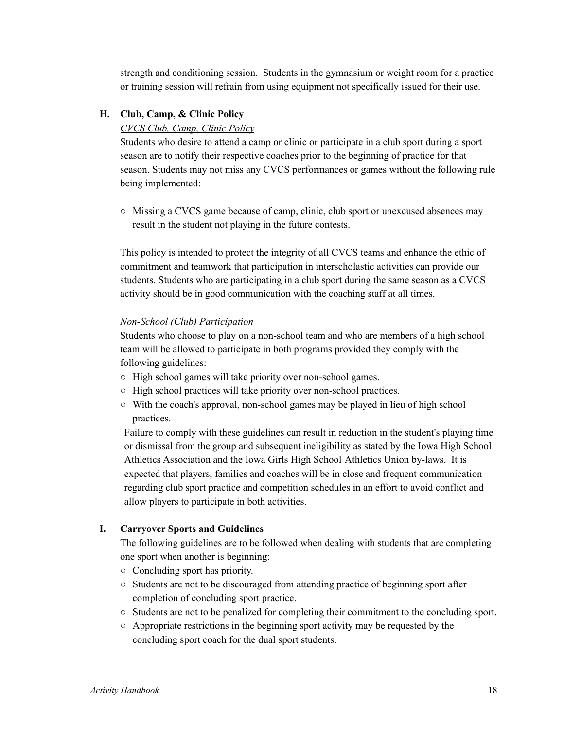strength and conditioning session. Students in the gymnasium or weight room for a practice or training session will refrain from using equipment not specifically issued for their use.

#### **H. Club, Camp, & Clinic Policy**

# *CVCS Club, Camp, Clinic Policy*

Students who desire to attend a camp or clinic or participate in a club sport during a sport season are to notify their respective coaches prior to the beginning of practice for that season. Students may not miss any CVCS performances or games without the following rule being implemented:

○ Missing a CVCS game because of camp, clinic, club sport or unexcused absences may result in the student not playing in the future contests.

This policy is intended to protect the integrity of all CVCS teams and enhance the ethic of commitment and teamwork that participation in interscholastic activities can provide our students. Students who are participating in a club sport during the same season as a CVCS activity should be in good communication with the coaching staff at all times.

#### *Non-School (Club) Participation*

Students who choose to play on a non-school team and who are members of a high school team will be allowed to participate in both programs provided they comply with the following guidelines:

- High school games will take priority over non-school games.
- High school practices will take priority over non-school practices.
- With the coach's approval, non-school games may be played in lieu of high school practices.

Failure to comply with these guidelines can result in reduction in the student's playing time or dismissal from the group and subsequent ineligibility as stated by the Iowa High School Athletics Association and the Iowa Girls High School Athletics Union by-laws. It is expected that players, families and coaches will be in close and frequent communication regarding club sport practice and competition schedules in an effort to avoid conflict and allow players to participate in both activities.

# **I. Carryover Sports and Guidelines**

The following guidelines are to be followed when dealing with students that are completing one sport when another is beginning:

- Concluding sport has priority.
- Students are not to be discouraged from attending practice of beginning sport after completion of concluding sport practice.
- Students are not to be penalized for completing their commitment to the concluding sport.
- Appropriate restrictions in the beginning sport activity may be requested by the concluding sport coach for the dual sport students.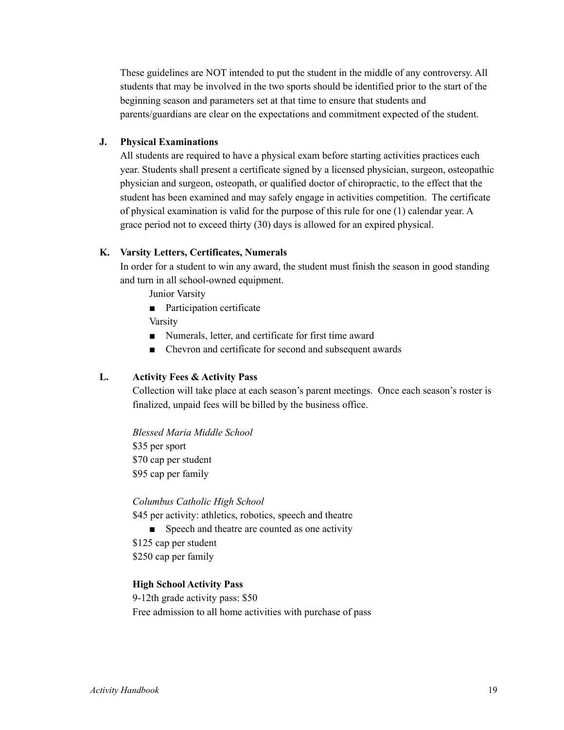These guidelines are NOT intended to put the student in the middle of any controversy. All students that may be involved in the two sports should be identified prior to the start of the beginning season and parameters set at that time to ensure that students and parents/guardians are clear on the expectations and commitment expected of the student.

# **J. Physical Examinations**

All students are required to have a physical exam before starting activities practices each year. Students shall present a certificate signed by a licensed physician, surgeon, osteopathic physician and surgeon, osteopath, or qualified doctor of chiropractic, to the effect that the student has been examined and may safely engage in activities competition. The certificate of physical examination is valid for the purpose of this rule for one (1) calendar year. A grace period not to exceed thirty (30) days is allowed for an expired physical.

#### **K. Varsity Letters, Certificates, Numerals**

In order for a student to win any award, the student must finish the season in good standing and turn in all school-owned equipment.

Junior Varsity

■ Participation certificate

Varsity

- Numerals, letter, and certificate for first time award
- Chevron and certificate for second and subsequent awards

# **L. Activity Fees & Activity Pass**

Collection will take place at each season's parent meetings. Once each season's roster is finalized, unpaid fees will be billed by the business office.

*Blessed Maria Middle School* \$35 per sport \$70 cap per student \$95 cap per family

#### *Columbus Catholic High School*

\$45 per activity: athletics, robotics, speech and theatre

■ Speech and theatre are counted as one activity

\$125 cap per student \$250 cap per family

#### **High School Activity Pass**

9-12th grade activity pass: \$50 Free admission to all home activities with purchase of pass